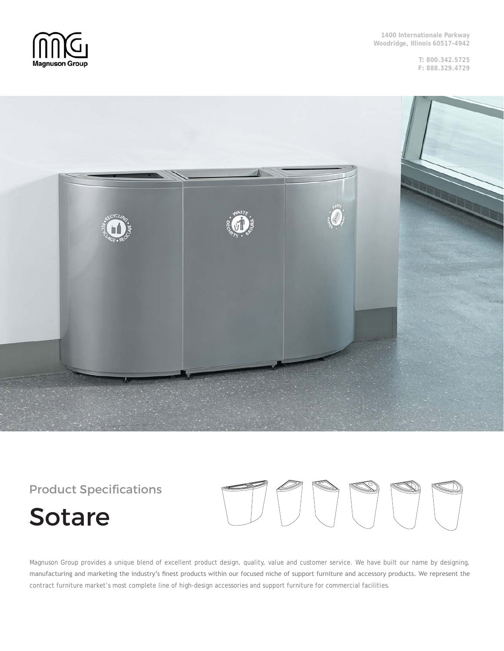

**T: 800.342.5725 F: 888.329.4729**



Product Specifications

# Sotare



Magnuson Group provides a unique blend of excellent product design, quality, value and customer service. We have built our name by designing, manufacturing and marketing the industry's finest products within our focused niche of support furniture and accessory products. We represent the contract furniture market's most complete line of high-design accessories and support furniture for commercial facilities.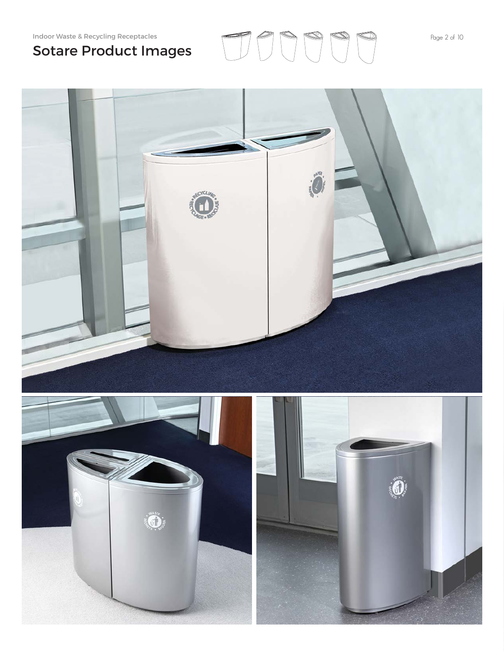## Sotare Product Images

Indoor Waste & Recycling Receptacles  $\overline{P}$   $\overline{P}$   $\overline{P}$   $\overline{P}$   $\overline{P}$   $\overline{P}$   $\overline{P}$   $\overline{P}$   $\overline{P}$   $\overline{P}$   $\overline{P}$   $\overline{P}$   $\overline{P}$   $\overline{P}$   $\overline{P}$   $\overline{P}$   $\overline{P}$   $\overline{P}$   $\overline{P}$   $\overline{P}$   $\overline$ 

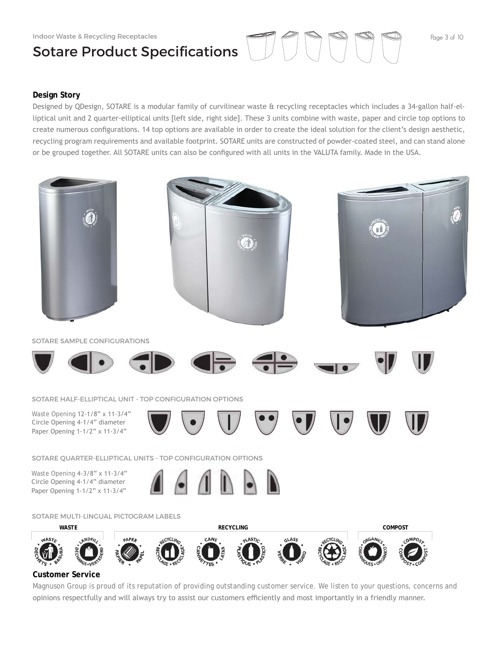#### Indoor Waste & Recycling Receptacles

# Sotare Product Specifications  $\Box$

### **Design Story**

Designed by QDesign, SOTARE is a modular family of curvilinear waste & recycling receptacles which includes a 34-gallon half-elliptical unit and 2 quarter-elliptical units [left side, right side]. These 3 units combine with waste, paper and circle top options to create numerous configurations. 14 top options are available in order to create the ideal solution for the client's design aesthetic, recycling program requirements and available footprint. SOTARE units are constructed of powder-coated steel, and can stand alone or be grouped together. All SOTARE units can also be configured with all units in the VALUTA family. Made in the USA.



### Magnuson Group is proud of its reputation of providing outstanding customer service. We listen to your questions, concerns and opinions respectfully and will always try to assist our customers efficiently and most importantly in a friendly manner.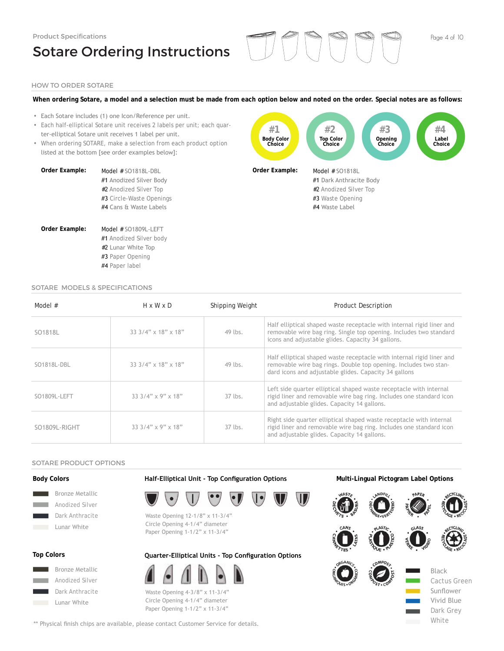## Sotare Ordering Instructions

### HOW TO ORDER SOTARE

#### **When ordering Sotare, a model and a selection must be made from each option below and noted on the order. Special notes are as follows:**

- Each Sotare includes (1) one Icon/Reference per unit.
- Each half-elliptical Sotare unit receives 2 labels per unit; each quarter-elliptical Sotare unit receives 1 label per unit.
- When ordering SOTARE, make a selection from each product option listed at the bottom [see order examples below]:

| Order Example: | Model $#$ SO1818L-DBL    | Ori |
|----------------|--------------------------|-----|
|                | #1 Anodized Silver Body  |     |
|                | #2 Anodized Silver Top   |     |
|                | #3 Circle-Waste Openings |     |
|                | #4 Cans & Waste Labels   |     |
| Order Example: | Model # SO1809L-LEFT     |     |
|                | #1 Anodized Silver body  |     |
|                | #2 Lunar White Top       |     |
|                | #3 Paper Opening         |     |



#### SOTARE MODELS & SPECIFICATIONS

#4 Paper label

| Model $#$     | $H \times W \times D$           | Shipping Weight | <b>Product Description</b>                                                                                                                                                                         |
|---------------|---------------------------------|-----------------|----------------------------------------------------------------------------------------------------------------------------------------------------------------------------------------------------|
| SO1818L       | $33.3/4" \times 18" \times 18"$ | 49 lbs.         | Half elliptical shaped waste receptacle with internal rigid liner and<br>removable wire bag ring. Single top opening. Includes two standard<br>icons and adjustable glides. Capacity 34 gallons.   |
| SO1818L-DBL   | $33.3/4" \times 18" \times 18"$ | 49 lbs.         | Half elliptical shaped waste receptacle with internal rigid liner and<br>removable wire bag rings. Double top opening. Includes two stan-<br>dard icons and adjustable glides. Capacity 34 gallons |
| SO1809L-LEFT  | $33.3/4" \times 9" \times 18"$  | $37$ lbs.       | Left side quarter elliptical shaped waste receptacle with internal<br>rigid liner and removable wire bag ring. Includes one standard icon<br>and adjustable glides. Capacity 14 gallons.           |
| SO1809L-RIGHT | $33.3/4" \times 9" \times 18"$  | $37$ lbs.       | Right side quarter elliptical shaped waste receptacle with internal<br>rigid liner and removable wire bag ring. Includes one standard icon<br>and adjustable glides. Capacity 14 gallons.          |

#### SOTARE PRODUCT OPTIONS

#### **Body Colors**



### **Top Colors**



**Half-Elliptical Unit - Top Configuration Options Multi-Lingual Pictogram Label Options**



Waste Opening 12-1/8" x 11-3/4" Circle Opening 4-1/4" diameter Paper Opening 1-1/2" x 11-3/4"

### **Quarter-Elliptical Units - Top Configuration Options**



Waste Opening 4-3/8" x 11-3/4" Circle Opening 4-1/4" diameter Paper Opening 1-1/2" x 11-3/4"

\*\* Physical finish chips are available, please contact Customer Service for details.





25

Vivid Blue Dark Grey White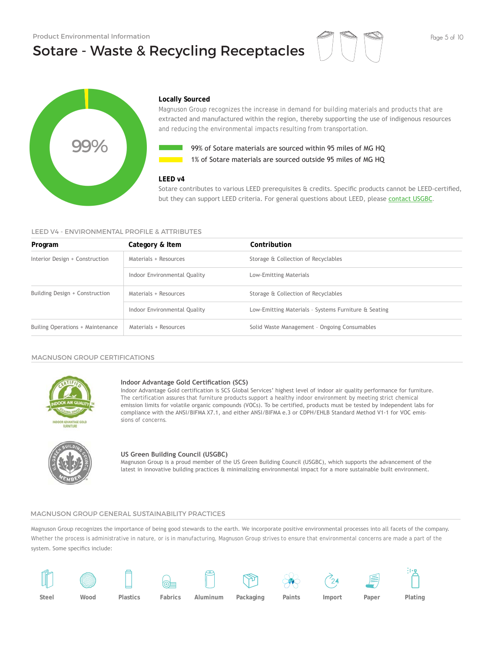## Sotare - Waste & Recycling Receptacles



#### **Locally Sourced**

Magnuson Group recognizes the increase in demand for building materials and products that are extracted and manufactured within the region, thereby supporting the use of indigenous resources and reducing the environmental impacts resulting from transportation.



**1%** of Sotare materials are sourced outside 95 miles of MG HQ 99% of Sotare materials are sourced within 95 miles of MG HQ

#### **LEED v4**

#### LEED V4 - ENVIRONMENTAL PROFILE & ATTRIBUTES

|                                              |                                                                 | 99% of Sotare materials are sourced within 95 miles of MG HQ<br>1% of Sotare materials are sourced outside 95 miles of MG HO                                                                                                                                                                                                                                                                                                                                                                 |
|----------------------------------------------|-----------------------------------------------------------------|----------------------------------------------------------------------------------------------------------------------------------------------------------------------------------------------------------------------------------------------------------------------------------------------------------------------------------------------------------------------------------------------------------------------------------------------------------------------------------------------|
| LEED V4 - ENVIRONMENTAL PROFILE & ATTRIBUTES | LEED v4                                                         | Sotare contributes to various LEED prerequisites & credits. Specific products cannot be LEED-certified,<br>but they can support LEED criteria. For general questions about LEED, please contact USGBC.                                                                                                                                                                                                                                                                                       |
| Program                                      | Category & Item                                                 | Contribution                                                                                                                                                                                                                                                                                                                                                                                                                                                                                 |
| Interior Design + Construction               | Materials + Resources                                           | Storage & Collection of Recyclables                                                                                                                                                                                                                                                                                                                                                                                                                                                          |
|                                              | Indoor Environmental Quality                                    | Low-Emitting Materials                                                                                                                                                                                                                                                                                                                                                                                                                                                                       |
| Building Design + Construction               | Materials + Resources                                           | Storage & Collection of Recyclables                                                                                                                                                                                                                                                                                                                                                                                                                                                          |
|                                              | Indoor Environmental Quality                                    | Low-Emitting Materials - Systems Furniture & Seating                                                                                                                                                                                                                                                                                                                                                                                                                                         |
| Builing Operations + Maintenance             | Materials + Resources                                           | Solid Waste Management - Ongoing Consumables                                                                                                                                                                                                                                                                                                                                                                                                                                                 |
| <b>MAGNUSON GROUP CERTIFICATIONS</b>         |                                                                 |                                                                                                                                                                                                                                                                                                                                                                                                                                                                                              |
| RIRNITURE                                    | Indoor Advantage Gold Certification (SCS)<br>sions of concerns. | Indoor Advantage Gold certification is SCS Global Services' highest level of indoor air quality performance for furniture.<br>The certification assures that furniture products support a healthy indoor environment by meeting strict chemical<br>emission limits for volatile organic compounds (VOCs). To be certified, products must be tested by independent labs for<br>compliance with the ANSI/BIFMA X7.1, and either ANSI/BIFMA e.3 or CDPH/EHLB Standard Method V1-1 for VOC emis- |
|                                              | US Green Building Council (USGBC)                               | Magnuson Group is a proud member of the US Green Building Council (USGBC), which supports the advancement of the<br>latest in innovative building practices & minimalizing environmental impact for a more sustainable built environment.                                                                                                                                                                                                                                                    |

#### MAGNUSON GROUP CERTIFICATIONS



#### **Indoor Advantage Gold Certification (SCS)**



#### **US Green Building Council (USGBC)**

#### MAGNUSON GROUP GENERAL SUSTAINABILITY PRACTICES

Magnuson Group recognizes the importance of being good stewards to the earth. We incorporate positive environmental processes into all facets of the company. Whether the process is administrative in nature, or is in manufacturing, Magnuson Group strives to ensure that environmental concerns are made a part of the system. Some specifics include:

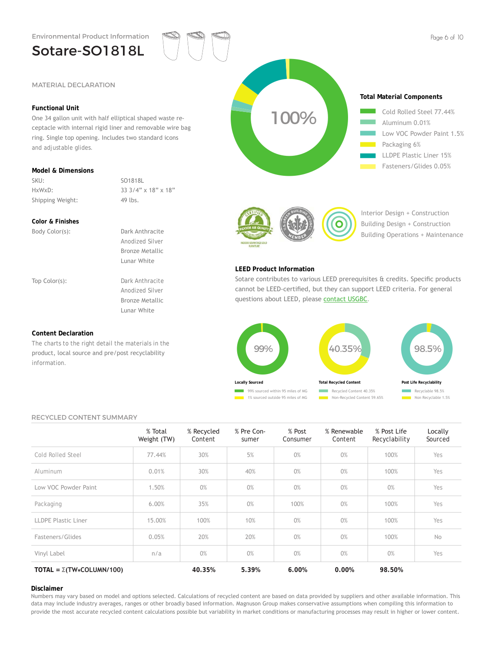Environmental Product Information

## Sotare-SO1818L

#### **Functional Unit**

One 34 gallon unit with half elliptical shaped waste receptacle with internal rigid liner and removable wire bag ring. Single top opening. Includes two standard icons and adjustable glides.

#### **Model & Dimensions**

SKU: SO1818L Shipping Weight: 49 lbs.

HxWxD: 33 3/4" x 18" x 18"

#### **Color & Finishes**

Body Color(s): Dark Anthracite Anodized Silver Bronze Metallic Lunar White

Top Color(s): Dark Anthracite Anodized Silver Bronze Metallic Lunar White

#### **Content Declaration**

The charts to the right detail the materials in the product, local source and pre/post recyclability information.





Interior Design + Construction Building Design + Construction Building Operations + Maintenance

#### **LEED Product Information**

Sotare contributes to various LEED prerequisites & credits. Specific products cannot be LEED-certified, but they can support LEED criteria. For general questions about LEED, please contact USGBC.



#### RECYCLED CONTENT SUMMARY

|                                       | % Total<br>Weight (TW) | % Recycled<br>Content | % Pre Con-<br>sumer | % Post<br>Consumer | % Renewable<br>Content | % Post Life<br>Recyclability | Locally<br>Sourced |
|---------------------------------------|------------------------|-----------------------|---------------------|--------------------|------------------------|------------------------------|--------------------|
| Cold Rolled Steel                     | 77.44%                 | 30%                   | 5%                  | 0%                 | 0%                     | 100%                         | Yes                |
| Aluminum                              | 0.01%                  | 30%                   | 40%                 | 0%                 | 0%                     | 100%                         | Yes                |
| Low VOC Powder Paint                  | 1.50%                  | 0%                    | 0%                  | 0%                 | 0%                     | 0%                           | Yes                |
| Packaging                             | 6.00%                  | 35%                   | 0%                  | 100%               | 0%                     | 100%                         | Yes                |
| <b>LLDPE Plastic Liner</b>            | 15.00%                 | 100%                  | 10%                 | 0%                 | 0%                     | 100%                         | Yes                |
| Fasteners/Glides                      | 0.05%                  | 20%                   | 20%                 | 0%                 | 0%                     | 100%                         | No                 |
| Vinyl Label                           | n/a                    | 0%                    | 0%                  | 0%                 | 0%                     | 0%                           | Yes                |
| TOTAL = $\Sigma(TW \star COLUMN/100)$ |                        | 40.35%                | 5.39%               | 6.00%              | 0.00%                  | 98.50%                       |                    |

#### **Disclaimer**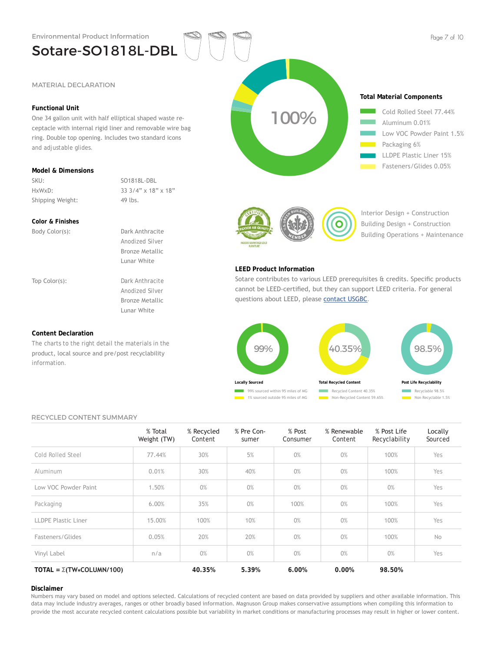Sotare-SO1818L-DBL

#### **Functional Unit**

One 34 gallon unit with half elliptical shaped waste receptacle with internal rigid liner and removable wire bag ring. Double top opening. Includes two standard icons and adjustable glides.

#### **Model & Dimensions**

SKU: SO1818L-DBL Shipping Weight: 49 lbs.

HxWxD: 33 3/4" x 18" x 18"

#### **Color & Finishes**

Body Color(s): Dark Anthracite Anodized Silver Bronze Metallic Lunar White

Top Color(s): Dark Anthracite Anodized Silver Bronze Metallic Lunar White

#### **Content Declaration**

The charts to the right detail the materials in the product, local source and pre/post recyclability information.





Interior Design + Construction Building Design + Construction Building Operations + Maintenance

#### **LEED Product Information**

Sotare contributes to various LEED prerequisites & credits. Specific products cannot be LEED-certified, but they can support LEED criteria. For general questions about LEED, please contact USGBC.



#### RECYCLED CONTENT SUMMARY

|                                        | % Total<br>Weight (TW) | % Recycled<br>Content | % Pre Con-<br>sumer | % Post<br>Consumer | % Renewable<br>Content | % Post Life<br>Recyclability | Locally<br>Sourced |
|----------------------------------------|------------------------|-----------------------|---------------------|--------------------|------------------------|------------------------------|--------------------|
| Cold Rolled Steel                      | 77.44%                 | 30%                   | 5%                  | 0%                 | 0%                     | 100%                         | Yes                |
| Aluminum                               | 0.01%                  | 30%                   | 40%                 | 0%                 | 0%                     | 100%                         | Yes                |
| Low VOC Powder Paint                   | 1.50%                  | 0%                    | 0%                  | 0%                 | 0%                     | 0%                           | Yes                |
| Packaging                              | 6.00%                  | 35%                   | 0%                  | 100%               | 0%                     | 100%                         | Yes                |
| <b>LLDPE Plastic Liner</b>             | 15.00%                 | 100%                  | 10%                 | 0%                 | 0%                     | 100%                         | Yes                |
| Fasteners/Glides                       | 0.05%                  | 20%                   | 20%                 | 0%                 | 0%                     | 100%                         | <b>No</b>          |
| Vinyl Label                            | n/a                    | 0%                    | 0%                  | 0%                 | 0%                     | 0%                           | Yes                |
| TOTAL = $\Sigma(TW \times COLUMN/100)$ |                        | 40.35%                | 5.39%               | 6.00%              | 0.00%                  | 98.50%                       |                    |

#### **Disclaimer**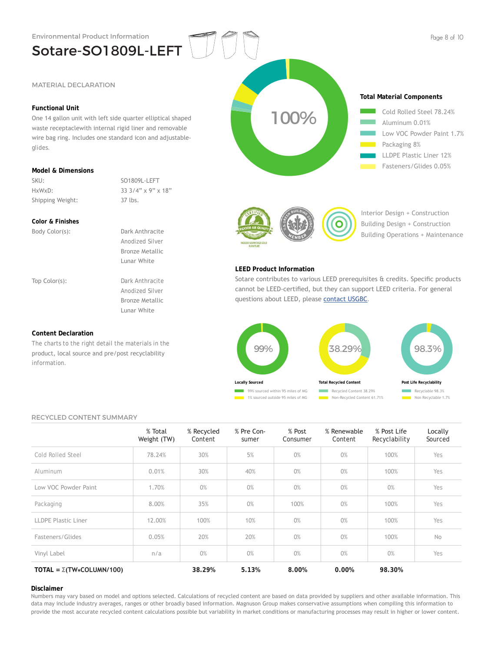Sotare-SO1809L-LEFT

#### **Functional Unit**

One 14 gallon unit with left side quarter elliptical shaped waste receptaclewith internal rigid liner and removable wire bag ring. Includes one standard icon and adjustableglides.

#### **Model & Dimensions**

SKU: SO1809L-LEFT Shipping Weight: 37 lbs.

HxWxD: 33 3/4" x 9" x 18"

#### **Color & Finishes**

Body Color(s): Dark Anthracite Anodized Silver Bronze Metallic Lunar White

Top Color(s): Dark Anthracite Anodized Silver Bronze Metallic Lunar White

#### **Content Declaration**

The charts to the right detail the materials in the product, local source and pre/post recyclability information.



![](_page_7_Picture_16.jpeg)

Interior Design + Construction Building Design + Construction Building Operations + Maintenance

#### **LEED Product Information**

Sotare contributes to various LEED prerequisites & credits. Specific products cannot be LEED-certified, but they can support LEED criteria. For general questions about LEED, please contact USGBC.

![](_page_7_Figure_20.jpeg)

#### RECYCLED CONTENT SUMMARY

|                                       | % Total<br>Weight (TW) | % Recycled<br>Content | % Pre Con-<br>sumer | % Post<br>Consumer | % Renewable<br>Content | % Post Life<br>Recyclability | Locally<br>Sourced |
|---------------------------------------|------------------------|-----------------------|---------------------|--------------------|------------------------|------------------------------|--------------------|
| Cold Rolled Steel                     | 78.24%                 | 30%                   | 5%                  | 0%                 | 0%                     | 100%                         | Yes                |
| Aluminum                              | 0.01%                  | 30%                   | 40%                 | 0%                 | 0%                     | 100%                         | Yes                |
| Low VOC Powder Paint                  | 1.70%                  | 0%                    | 0%                  | 0%                 | 0%                     | 0%                           | Yes                |
| Packaging                             | 8.00%                  | 35%                   | 0%                  | 100%               | 0%                     | 100%                         | Yes                |
| LLDPE Plastic Liner                   | 12.00%                 | 100%                  | 10%                 | 0%                 | 0%                     | 100%                         | Yes                |
| Fasteners/Glides                      | 0.05%                  | 20%                   | 20%                 | 0%                 | 0%                     | 100%                         | No                 |
| Vinyl Label                           | n/a                    | 0%                    | 0%                  | 0%                 | 0%                     | 0%                           | Yes                |
| TOTAL = $\Sigma(TW \star COLUMN/100)$ |                        | 38.29%                | 5.13%               | 8.00%              | 0.00%                  | 98.30%                       |                    |

#### **Disclaimer**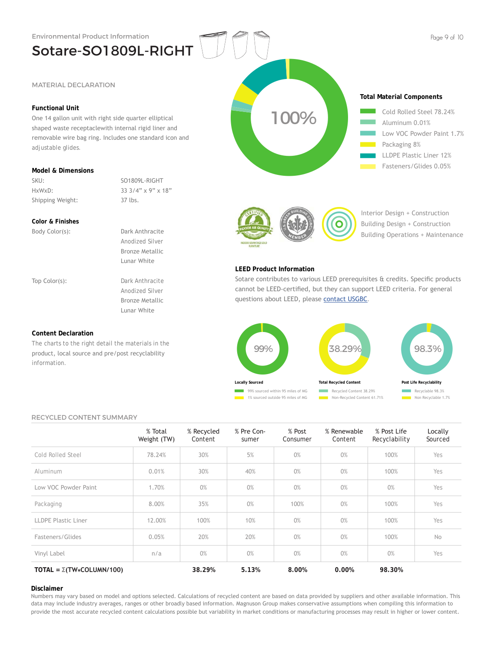#### **Functional Unit**

One 14 gallon unit with right side quarter elliptical shaped waste receptaclewith internal rigid liner and removable wire bag ring. Includes one standard icon and adjustable glides.

Sotare-SO1809L-RIGHT

#### **Model & Dimensions**

SKU: SO1809L-RIGHT Shipping Weight: 37 lbs.

HxWxD: 33 3/4" x 9" x 18"

#### **Color & Finishes**

Body Color(s): Dark Anthracite Anodized Silver Bronze Metallic Lunar White

Top Color(s): Dark Anthracite Anodized Silver Bronze Metallic Lunar White

#### **Content Declaration**

The charts to the right detail the materials in the product, local source and pre/post recyclability information.

![](_page_8_Figure_15.jpeg)

![](_page_8_Picture_16.jpeg)

Interior Design + Construction Building Design + Construction Building Operations + Maintenance

#### **LEED Product Information**

Sotare contributes to various LEED prerequisites & credits. Specific products cannot be LEED-certified, but they can support LEED criteria. For general questions about LEED, please contact USGBC.

![](_page_8_Figure_20.jpeg)

#### RECYCLED CONTENT SUMMARY

|                                       | % Total<br>Weight (TW) | % Recycled<br>Content | % Pre Con-<br>sumer | % Post<br>Consumer | % Renewable<br>Content | % Post Life<br>Recyclability | Locally<br>Sourced |
|---------------------------------------|------------------------|-----------------------|---------------------|--------------------|------------------------|------------------------------|--------------------|
| Cold Rolled Steel                     | 78.24%                 | 30%                   | 5%                  | 0%                 | 0%                     | 100%                         | Yes                |
| Aluminum                              | 0.01%                  | 30%                   | 40%                 | 0%                 | 0%                     | 100%                         | Yes                |
| Low VOC Powder Paint                  | 1.70%                  | 0%                    | 0%                  | 0%                 | 0%                     | 0%                           | Yes                |
| Packaging                             | 8.00%                  | 35%                   | 0%                  | 100%               | 0%                     | 100%                         | Yes                |
| LLDPE Plastic Liner                   | 12.00%                 | 100%                  | 10%                 | 0%                 | 0%                     | 100%                         | Yes                |
| Fasteners/Glides                      | 0.05%                  | 20%                   | 20%                 | 0%                 | 0%                     | 100%                         | No                 |
| Vinyl Label                           | n/a                    | 0%                    | 0%                  | 0%                 | 0%                     | 0%                           | Yes                |
| TOTAL = $\Sigma(TW \star COLUMN/100)$ |                        | 38.29%                | 5.13%               | 8.00%              | 0.00%                  | 98.30%                       |                    |

#### **Disclaimer**